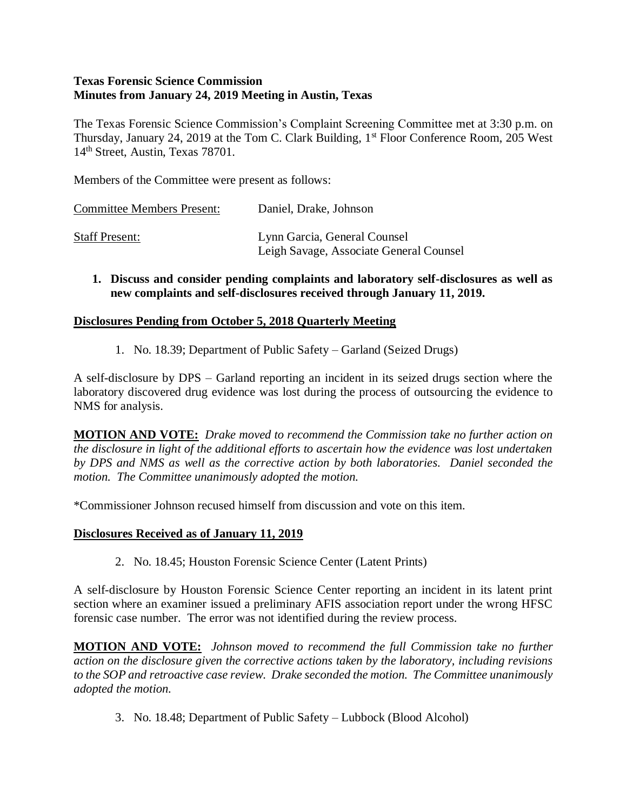### **Texas Forensic Science Commission Minutes from January 24, 2019 Meeting in Austin, Texas**

The Texas Forensic Science Commission's Complaint Screening Committee met at 3:30 p.m. on Thursday, January 24, 2019 at the Tom C. Clark Building, 1<sup>st</sup> Floor Conference Room, 205 West 14th Street, Austin, Texas 78701.

Members of the Committee were present as follows:

| <b>Committee Members Present:</b> | Daniel, Drake, Johnson                                                  |
|-----------------------------------|-------------------------------------------------------------------------|
| <b>Staff Present:</b>             | Lynn Garcia, General Counsel<br>Leigh Savage, Associate General Counsel |

**1. Discuss and consider pending complaints and laboratory self-disclosures as well as new complaints and self-disclosures received through January 11, 2019.**

### **Disclosures Pending from October 5, 2018 Quarterly Meeting**

1. No. 18.39; Department of Public Safety – Garland (Seized Drugs)

A self-disclosure by DPS – Garland reporting an incident in its seized drugs section where the laboratory discovered drug evidence was lost during the process of outsourcing the evidence to NMS for analysis.

**MOTION AND VOTE:** *Drake moved to recommend the Commission take no further action on the disclosure in light of the additional efforts to ascertain how the evidence was lost undertaken by DPS and NMS as well as the corrective action by both laboratories. Daniel seconded the motion. The Committee unanimously adopted the motion.*

\*Commissioner Johnson recused himself from discussion and vote on this item.

### **Disclosures Received as of January 11, 2019**

2. No. 18.45; Houston Forensic Science Center (Latent Prints)

A self-disclosure by Houston Forensic Science Center reporting an incident in its latent print section where an examiner issued a preliminary AFIS association report under the wrong HFSC forensic case number. The error was not identified during the review process.

**MOTION AND VOTE:** *Johnson moved to recommend the full Commission take no further action on the disclosure given the corrective actions taken by the laboratory, including revisions to the SOP and retroactive case review. Drake seconded the motion. The Committee unanimously adopted the motion.*

3. No. 18.48; Department of Public Safety – Lubbock (Blood Alcohol)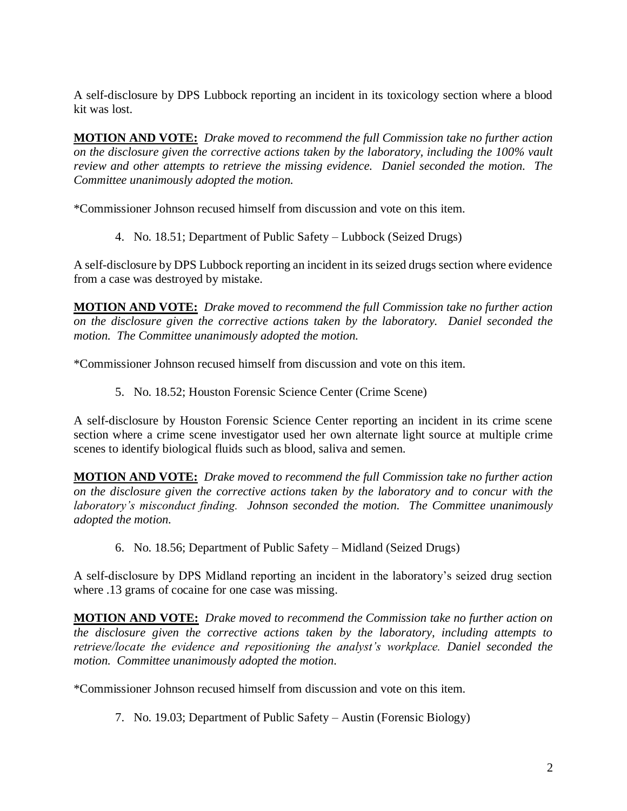A self-disclosure by DPS Lubbock reporting an incident in its toxicology section where a blood kit was lost.

**MOTION AND VOTE:** *Drake moved to recommend the full Commission take no further action on the disclosure given the corrective actions taken by the laboratory, including the 100% vault review and other attempts to retrieve the missing evidence. Daniel seconded the motion. The Committee unanimously adopted the motion.*

\*Commissioner Johnson recused himself from discussion and vote on this item.

4. No. 18.51; Department of Public Safety – Lubbock (Seized Drugs)

A self-disclosure by DPS Lubbock reporting an incident in its seized drugs section where evidence from a case was destroyed by mistake.

**MOTION AND VOTE:** *Drake moved to recommend the full Commission take no further action on the disclosure given the corrective actions taken by the laboratory. Daniel seconded the motion. The Committee unanimously adopted the motion.*

\*Commissioner Johnson recused himself from discussion and vote on this item.

5. No. 18.52; Houston Forensic Science Center (Crime Scene)

A self-disclosure by Houston Forensic Science Center reporting an incident in its crime scene section where a crime scene investigator used her own alternate light source at multiple crime scenes to identify biological fluids such as blood, saliva and semen.

**MOTION AND VOTE:** *Drake moved to recommend the full Commission take no further action on the disclosure given the corrective actions taken by the laboratory and to concur with the laboratory's misconduct finding. Johnson seconded the motion. The Committee unanimously adopted the motion.*

6. No. 18.56; Department of Public Safety – Midland (Seized Drugs)

A self-disclosure by DPS Midland reporting an incident in the laboratory's seized drug section where .13 grams of cocaine for one case was missing.

**MOTION AND VOTE:** *Drake moved to recommend the Commission take no further action on the disclosure given the corrective actions taken by the laboratory, including attempts to retrieve/locate the evidence and repositioning the analyst's workplace. Daniel seconded the motion. Committee unanimously adopted the motion.*

\*Commissioner Johnson recused himself from discussion and vote on this item.

7. No. 19.03; Department of Public Safety – Austin (Forensic Biology)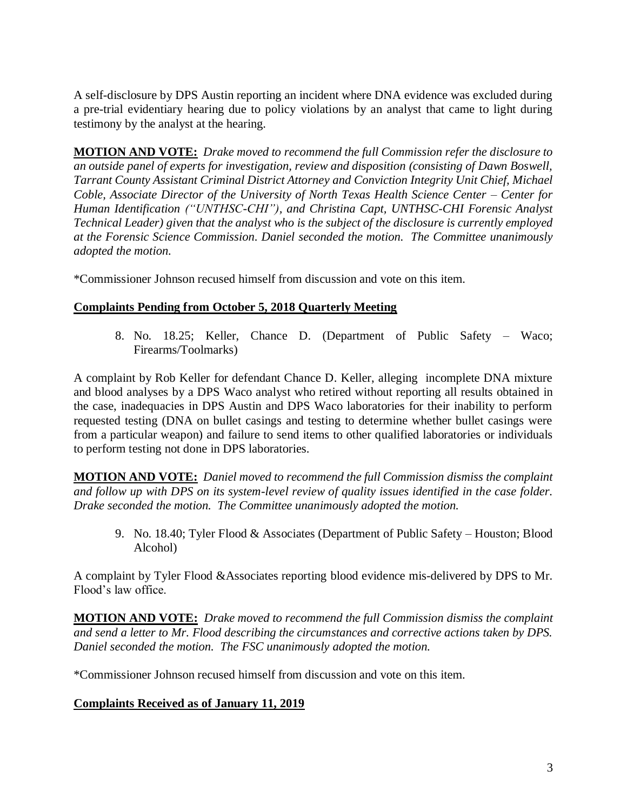A self-disclosure by DPS Austin reporting an incident where DNA evidence was excluded during a pre-trial evidentiary hearing due to policy violations by an analyst that came to light during testimony by the analyst at the hearing.

**MOTION AND VOTE:** *Drake moved to recommend the full Commission refer the disclosure to an outside panel of experts for investigation, review and disposition (consisting of Dawn Boswell, Tarrant County Assistant Criminal District Attorney and Conviction Integrity Unit Chief, Michael Coble, Associate Director of the University of North Texas Health Science Center – Center for Human Identification ("UNTHSC-CHI"), and Christina Capt, UNTHSC-CHI Forensic Analyst Technical Leader) given that the analyst who is the subject of the disclosure is currently employed at the Forensic Science Commission. Daniel seconded the motion. The Committee unanimously adopted the motion.*

\*Commissioner Johnson recused himself from discussion and vote on this item.

# **Complaints Pending from October 5, 2018 Quarterly Meeting**

8. No. 18.25; Keller, Chance D. (Department of Public Safety – Waco; Firearms/Toolmarks)

A complaint by Rob Keller for defendant Chance D. Keller, alleging incomplete DNA mixture and blood analyses by a DPS Waco analyst who retired without reporting all results obtained in the case, inadequacies in DPS Austin and DPS Waco laboratories for their inability to perform requested testing (DNA on bullet casings and testing to determine whether bullet casings were from a particular weapon) and failure to send items to other qualified laboratories or individuals to perform testing not done in DPS laboratories.

**MOTION AND VOTE:** *Daniel moved to recommend the full Commission dismiss the complaint and follow up with DPS on its system-level review of quality issues identified in the case folder. Drake seconded the motion. The Committee unanimously adopted the motion.*

9. No. 18.40; Tyler Flood & Associates (Department of Public Safety – Houston; Blood Alcohol)

A complaint by Tyler Flood &Associates reporting blood evidence mis-delivered by DPS to Mr. Flood's law office.

**MOTION AND VOTE:** *Drake moved to recommend the full Commission dismiss the complaint and send a letter to Mr. Flood describing the circumstances and corrective actions taken by DPS. Daniel seconded the motion. The FSC unanimously adopted the motion.*

\*Commissioner Johnson recused himself from discussion and vote on this item.

# **Complaints Received as of January 11, 2019**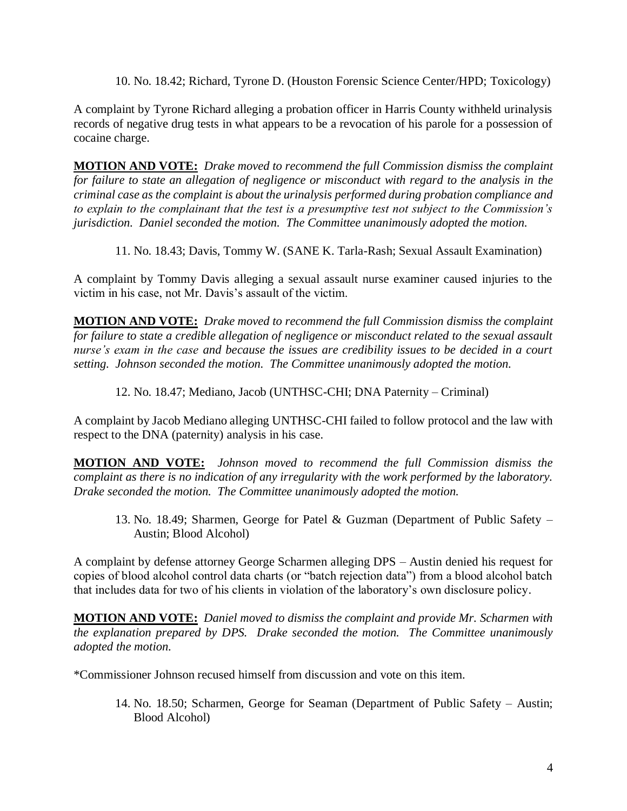10. No. 18.42; Richard, Tyrone D. (Houston Forensic Science Center/HPD; Toxicology)

A complaint by Tyrone Richard alleging a probation officer in Harris County withheld urinalysis records of negative drug tests in what appears to be a revocation of his parole for a possession of cocaine charge.

**MOTION AND VOTE:** *Drake moved to recommend the full Commission dismiss the complaint for failure to state an allegation of negligence or misconduct with regard to the analysis in the criminal case as the complaint is about the urinalysis performed during probation compliance and to explain to the complainant that the test is a presumptive test not subject to the Commission's jurisdiction. Daniel seconded the motion. The Committee unanimously adopted the motion.*

11. No. 18.43; Davis, Tommy W. (SANE K. Tarla-Rash; Sexual Assault Examination)

A complaint by Tommy Davis alleging a sexual assault nurse examiner caused injuries to the victim in his case, not Mr. Davis's assault of the victim.

**MOTION AND VOTE:** *Drake moved to recommend the full Commission dismiss the complaint for failure to state a credible allegation of negligence or misconduct related to the sexual assault nurse's exam in the case and because the issues are credibility issues to be decided in a court setting. Johnson seconded the motion. The Committee unanimously adopted the motion.*

12. No. 18.47; Mediano, Jacob (UNTHSC-CHI; DNA Paternity – Criminal)

A complaint by Jacob Mediano alleging UNTHSC-CHI failed to follow protocol and the law with respect to the DNA (paternity) analysis in his case.

**MOTION AND VOTE:** *Johnson moved to recommend the full Commission dismiss the complaint as there is no indication of any irregularity with the work performed by the laboratory. Drake seconded the motion. The Committee unanimously adopted the motion.*

13. No. 18.49; Sharmen, George for Patel & Guzman (Department of Public Safety – Austin; Blood Alcohol)

A complaint by defense attorney George Scharmen alleging DPS – Austin denied his request for copies of blood alcohol control data charts (or "batch rejection data") from a blood alcohol batch that includes data for two of his clients in violation of the laboratory's own disclosure policy.

**MOTION AND VOTE:** *Daniel moved to dismiss the complaint and provide Mr. Scharmen with the explanation prepared by DPS. Drake seconded the motion. The Committee unanimously adopted the motion.*

\*Commissioner Johnson recused himself from discussion and vote on this item.

14. No. 18.50; Scharmen, George for Seaman (Department of Public Safety – Austin; Blood Alcohol)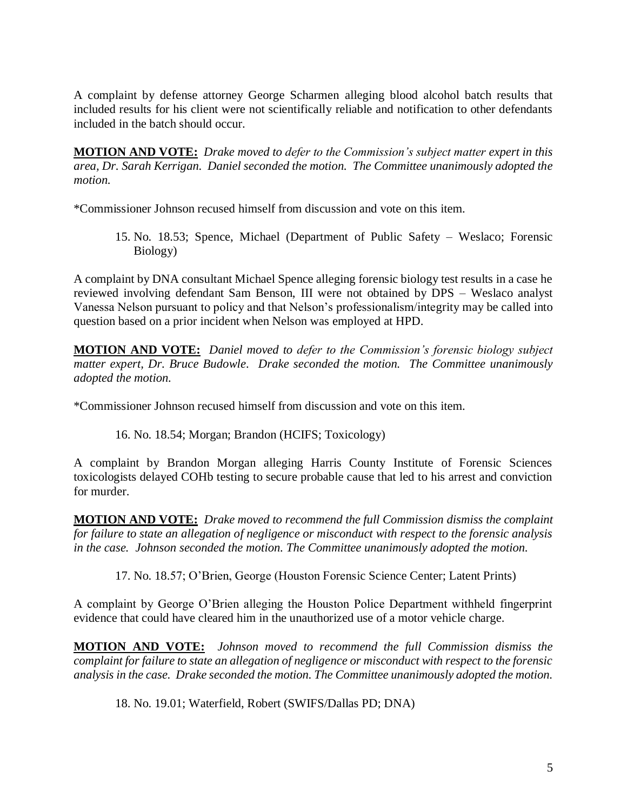A complaint by defense attorney George Scharmen alleging blood alcohol batch results that included results for his client were not scientifically reliable and notification to other defendants included in the batch should occur.

**MOTION AND VOTE:** *Drake moved to defer to the Commission's subject matter expert in this area, Dr. Sarah Kerrigan. Daniel seconded the motion. The Committee unanimously adopted the motion.*

\*Commissioner Johnson recused himself from discussion and vote on this item.

15. No. 18.53; Spence, Michael (Department of Public Safety – Weslaco; Forensic Biology)

A complaint by DNA consultant Michael Spence alleging forensic biology test results in a case he reviewed involving defendant Sam Benson, III were not obtained by DPS – Weslaco analyst Vanessa Nelson pursuant to policy and that Nelson's professionalism/integrity may be called into question based on a prior incident when Nelson was employed at HPD.

**MOTION AND VOTE:** *Daniel moved to defer to the Commission's forensic biology subject matter expert, Dr. Bruce Budowle. Drake seconded the motion. The Committee unanimously adopted the motion.*

\*Commissioner Johnson recused himself from discussion and vote on this item.

16. No. 18.54; Morgan; Brandon (HCIFS; Toxicology)

A complaint by Brandon Morgan alleging Harris County Institute of Forensic Sciences toxicologists delayed COHb testing to secure probable cause that led to his arrest and conviction for murder.

**MOTION AND VOTE:** *Drake moved to recommend the full Commission dismiss the complaint for failure to state an allegation of negligence or misconduct with respect to the forensic analysis in the case. Johnson seconded the motion. The Committee unanimously adopted the motion.*

17. No. 18.57; O'Brien, George (Houston Forensic Science Center; Latent Prints)

A complaint by George O'Brien alleging the Houston Police Department withheld fingerprint evidence that could have cleared him in the unauthorized use of a motor vehicle charge.

**MOTION AND VOTE:** *Johnson moved to recommend the full Commission dismiss the complaint for failure to state an allegation of negligence or misconduct with respect to the forensic analysis in the case. Drake seconded the motion. The Committee unanimously adopted the motion.*

18. No. 19.01; Waterfield, Robert (SWIFS/Dallas PD; DNA)